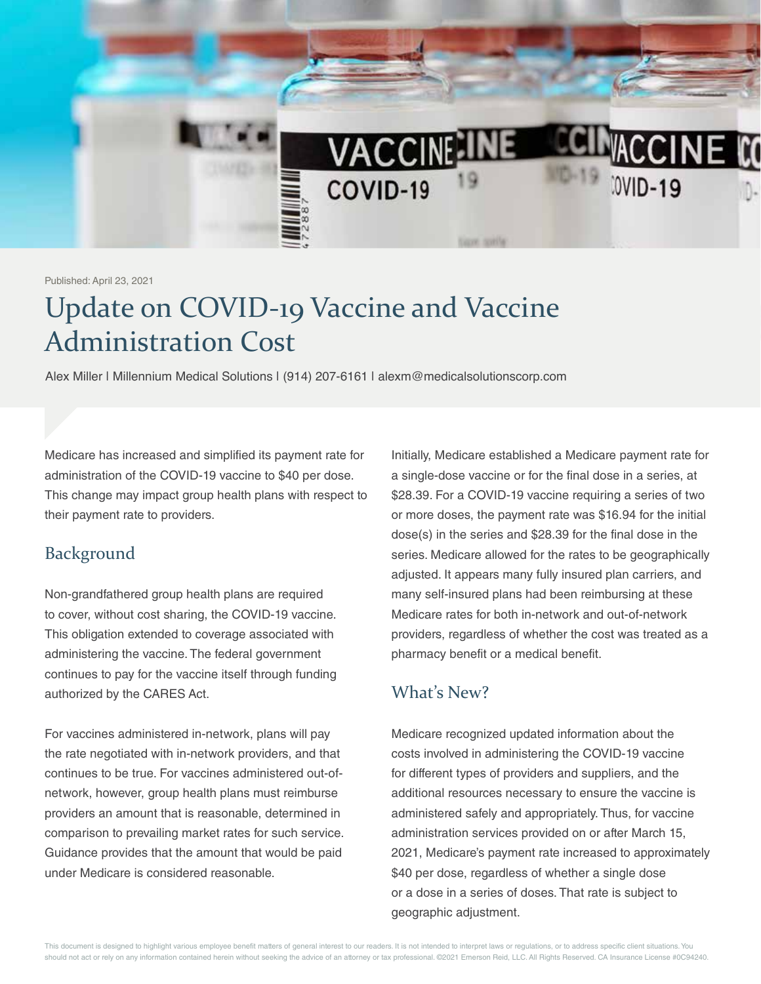

Published: April 23, 2021

## Update on COVID-19 Vaccine and Vaccine Administration Cost

Alex Miller | Millennium Medical Solutions | (914) 207-6161 | alexm@medicalsolutionscorp.com

Medicare has increased and simplified its payment rate for administration of the COVID-19 vaccine to \$40 per dose. This change may impact group health plans with respect to their payment rate to providers.

## Background

Non-grandfathered group health plans are required to cover, without cost sharing, the COVID-19 vaccine. This obligation extended to coverage associated with administering the vaccine. The federal government continues to pay for the vaccine itself through funding authorized by the CARES Act.

For vaccines administered in-network, plans will pay the rate negotiated with in-network providers, and that continues to be true. For vaccines administered out-ofnetwork, however, group health plans must reimburse providers an amount that is reasonable, determined in comparison to prevailing market rates for such service. Guidance provides that the amount that would be paid under Medicare is considered reasonable.

Initially, Medicare established a Medicare payment rate for a single-dose vaccine or for the final dose in a series, at \$28.39. For a COVID-19 vaccine requiring a series of two or more doses, the payment rate was \$16.94 for the initial dose(s) in the series and \$28.39 for the final dose in the series. Medicare allowed for the rates to be geographically adjusted. It appears many fully insured plan carriers, and many self-insured plans had been reimbursing at these Medicare rates for both in-network and out-of-network providers, regardless of whether the cost was treated as a pharmacy benefit or a medical benefit.

## What's New?

Medicare recognized updated information about the costs involved in administering the COVID-19 vaccine for different types of providers and suppliers, and the additional resources necessary to ensure the vaccine is administered safely and appropriately. Thus, for vaccine administration services provided on or after March 15, 2021, Medicare's payment rate increased to approximately \$40 per dose, regardless of whether a single dose or a dose in a series of doses. That rate is subject to geographic adjustment.